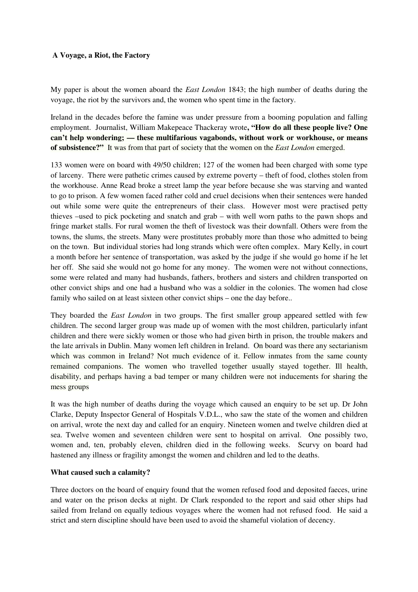## **A Voyage, a Riot, the Factory**

My paper is about the women aboard the *East London* 1843; the high number of deaths during the voyage, the riot by the survivors and, the women who spent time in the factory.

Ireland in the decades before the famine was under pressure from a booming population and falling employment. Journalist, William Makepeace Thackeray wrote**, "How do all these people live? One can't help wondering; — these multifarious vagabonds, without work or workhouse, or means of subsistence?"** It was from that part of society that the women on the *East London* emerged.

133 women were on board with 49/50 children; 127 of the women had been charged with some type of larceny. There were pathetic crimes caused by extreme poverty – theft of food, clothes stolen from the workhouse. Anne Read broke a street lamp the year before because she was starving and wanted to go to prison. A few women faced rather cold and cruel decisions when their sentences were handed out while some were quite the entrepreneurs of their class. However most were practised petty thieves –used to pick pocketing and snatch and grab – with well worn paths to the pawn shops and fringe market stalls. For rural women the theft of livestock was their downfall. Others were from the towns, the slums, the streets. Many were prostitutes probably more than those who admitted to being on the town. But individual stories had long strands which were often complex. Mary Kelly, in court a month before her sentence of transportation, was asked by the judge if she would go home if he let her off. She said she would not go home for any money. The women were not without connections, some were related and many had husbands, fathers, brothers and sisters and children transported on other convict ships and one had a husband who was a soldier in the colonies. The women had close family who sailed on at least sixteen other convict ships – one the day before..

They boarded the *East London* in two groups. The first smaller group appeared settled with few children. The second larger group was made up of women with the most children, particularly infant children and there were sickly women or those who had given birth in prison, the trouble makers and the late arrivals in Dublin. Many women left children in Ireland. On board was there any sectarianism which was common in Ireland? Not much evidence of it. Fellow inmates from the same county remained companions. The women who travelled together usually stayed together. Ill health, disability, and perhaps having a bad temper or many children were not inducements for sharing the mess groups

It was the high number of deaths during the voyage which caused an enquiry to be set up. Dr John Clarke, Deputy Inspector General of Hospitals V.D.L., who saw the state of the women and children on arrival, wrote the next day and called for an enquiry. Nineteen women and twelve children died at sea. Twelve women and seventeen children were sent to hospital on arrival. One possibly two, women and, ten, probably eleven, children died in the following weeks. Scurvy on board had hastened any illness or fragility amongst the women and children and led to the deaths.

## **What caused such a calamity?**

Three doctors on the board of enquiry found that the women refused food and deposited faeces, urine and water on the prison decks at night. Dr Clark responded to the report and said other ships had sailed from Ireland on equally tedious voyages where the women had not refused food. He said a strict and stern discipline should have been used to avoid the shameful violation of decency.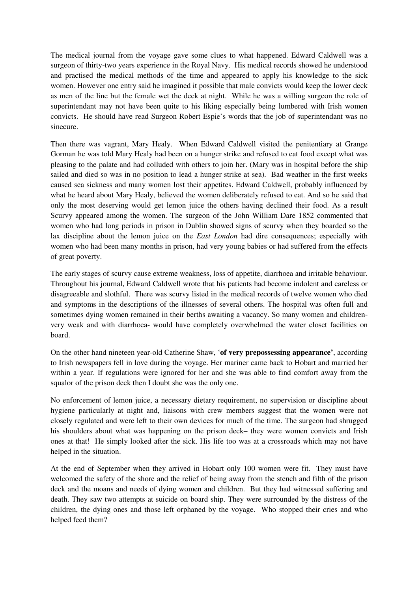The medical journal from the voyage gave some clues to what happened. Edward Caldwell was a surgeon of thirty-two years experience in the Royal Navy. His medical records showed he understood and practised the medical methods of the time and appeared to apply his knowledge to the sick women. However one entry said he imagined it possible that male convicts would keep the lower deck as men of the line but the female wet the deck at night. While he was a willing surgeon the role of superintendant may not have been quite to his liking especially being lumbered with Irish women convicts. He should have read Surgeon Robert Espie's words that the job of superintendant was no sinecure.

Then there was vagrant, Mary Healy. When Edward Caldwell visited the penitentiary at Grange Gorman he was told Mary Healy had been on a hunger strike and refused to eat food except what was pleasing to the palate and had colluded with others to join her. (Mary was in hospital before the ship sailed and died so was in no position to lead a hunger strike at sea). Bad weather in the first weeks caused sea sickness and many women lost their appetites. Edward Caldwell, probably influenced by what he heard about Mary Healy, believed the women deliberately refused to eat. And so he said that only the most deserving would get lemon juice the others having declined their food. As a result Scurvy appeared among the women. The surgeon of the John William Dare 1852 commented that women who had long periods in prison in Dublin showed signs of scurvy when they boarded so the lax discipline about the lemon juice on the *East London* had dire consequences; especially with women who had been many months in prison, had very young babies or had suffered from the effects of great poverty.

The early stages of scurvy cause extreme weakness, loss of appetite, diarrhoea and irritable behaviour. Throughout his journal, Edward Caldwell wrote that his patients had become indolent and careless or disagreeable and slothful. There was scurvy listed in the medical records of twelve women who died and symptoms in the descriptions of the illnesses of several others. The hospital was often full and sometimes dying women remained in their berths awaiting a vacancy. So many women and childrenvery weak and with diarrhoea- would have completely overwhelmed the water closet facilities on board.

On the other hand nineteen year-old Catherine Shaw, '**of very prepossessing appearance'**, according to Irish newspapers fell in love during the voyage. Her mariner came back to Hobart and married her within a year. If regulations were ignored for her and she was able to find comfort away from the squalor of the prison deck then I doubt she was the only one.

No enforcement of lemon juice, a necessary dietary requirement, no supervision or discipline about hygiene particularly at night and, liaisons with crew members suggest that the women were not closely regulated and were left to their own devices for much of the time. The surgeon had shrugged his shoulders about what was happening on the prison deck– they were women convicts and Irish ones at that! He simply looked after the sick. His life too was at a crossroads which may not have helped in the situation.

At the end of September when they arrived in Hobart only 100 women were fit. They must have welcomed the safety of the shore and the relief of being away from the stench and filth of the prison deck and the moans and needs of dying women and children. But they had witnessed suffering and death. They saw two attempts at suicide on board ship. They were surrounded by the distress of the children, the dying ones and those left orphaned by the voyage. Who stopped their cries and who helped feed them?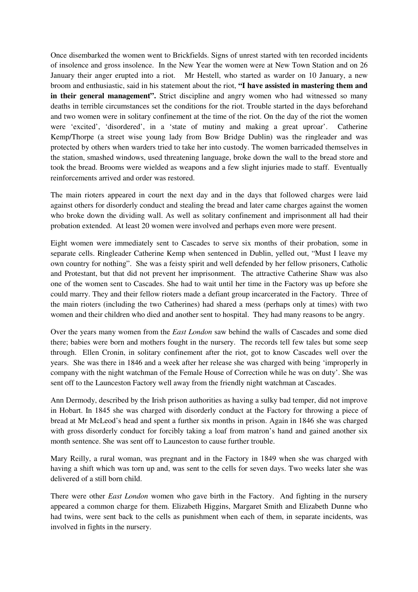Once disembarked the women went to Brickfields. Signs of unrest started with ten recorded incidents of insolence and gross insolence. In the New Year the women were at New Town Station and on 26 January their anger erupted into a riot. Mr Hestell, who started as warder on 10 January, a new broom and enthusiastic, said in his statement about the riot, **"I have assisted in mastering them and**  in their general management". Strict discipline and angry women who had witnessed so many deaths in terrible circumstances set the conditions for the riot. Trouble started in the days beforehand and two women were in solitary confinement at the time of the riot. On the day of the riot the women were 'excited', 'disordered', in a 'state of mutiny and making a great uproar'. Catherine Kemp/Thorpe (a street wise young lady from Bow Bridge Dublin) was the ringleader and was protected by others when warders tried to take her into custody. The women barricaded themselves in the station, smashed windows, used threatening language, broke down the wall to the bread store and took the bread. Brooms were wielded as weapons and a few slight injuries made to staff. Eventually reinforcements arrived and order was restored.

The main rioters appeared in court the next day and in the days that followed charges were laid against others for disorderly conduct and stealing the bread and later came charges against the women who broke down the dividing wall. As well as solitary confinement and imprisonment all had their probation extended. At least 20 women were involved and perhaps even more were present.

Eight women were immediately sent to Cascades to serve six months of their probation, some in separate cells. Ringleader Catherine Kemp when sentenced in Dublin, yelled out, "Must I leave my own country for nothing". She was a feisty spirit and well defended by her fellow prisoners, Catholic and Protestant, but that did not prevent her imprisonment. The attractive Catherine Shaw was also one of the women sent to Cascades. She had to wait until her time in the Factory was up before she could marry. They and their fellow rioters made a defiant group incarcerated in the Factory. Three of the main rioters (including the two Catherines) had shared a mess (perhaps only at times) with two women and their children who died and another sent to hospital. They had many reasons to be angry.

Over the years many women from the *East London* saw behind the walls of Cascades and some died there; babies were born and mothers fought in the nursery. The records tell few tales but some seep through. Ellen Cronin, in solitary confinement after the riot, got to know Cascades well over the years. She was there in 1846 and a week after her release she was charged with being 'improperly in company with the night watchman of the Female House of Correction while he was on duty'. She was sent off to the Launceston Factory well away from the friendly night watchman at Cascades.

Ann Dermody, described by the Irish prison authorities as having a sulky bad temper, did not improve in Hobart. In 1845 she was charged with disorderly conduct at the Factory for throwing a piece of bread at Mr McLeod's head and spent a further six months in prison. Again in 1846 she was charged with gross disorderly conduct for forcibly taking a loaf from matron's hand and gained another six month sentence. She was sent off to Launceston to cause further trouble.

Mary Reilly, a rural woman, was pregnant and in the Factory in 1849 when she was charged with having a shift which was torn up and, was sent to the cells for seven days. Two weeks later she was delivered of a still born child.

There were other *East London* women who gave birth in the Factory. And fighting in the nursery appeared a common charge for them. Elizabeth Higgins, Margaret Smith and Elizabeth Dunne who had twins, were sent back to the cells as punishment when each of them, in separate incidents, was involved in fights in the nursery.